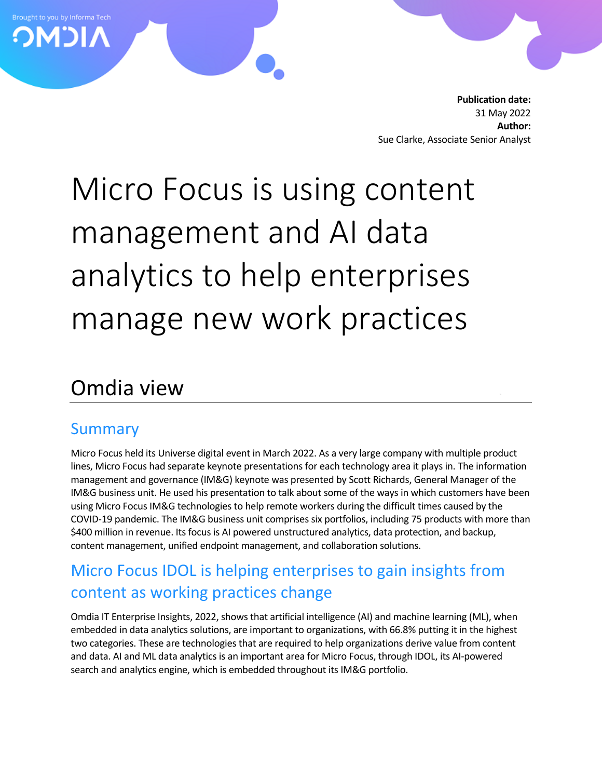**Publication date:** 31 May 2022 **Author:** Sue Clarke, Associate Senior Analyst

# Micro Focus is using content management and AI data analytics to help enterprises manage new work practices

# Omdia view

#### Summary

Brought to you by Informa Tech **OMDIA** 

> Micro Focus held its Universe digital event in March 2022. As a very large company with multiple product lines, Micro Focus had separate keynote presentations for each technology area it plays in. The information management and governance (IM&G) keynote was presented by Scott Richards, General Manager of the IM&G business unit. He used his presentation to talk about some of the ways in which customers have been using Micro Focus IM&G technologies to help remote workers during the difficult times caused by the COVID-19 pandemic. The IM&G business unit comprises six portfolios, including 75 products with more than \$400 million in revenue. Its focus is AI powered unstructured analytics, data protection, and backup, content management, unified endpoint management, and collaboration solutions.

## Micro Focus IDOL is helping enterprises to gain insights from content as working practices change

Omdia IT Enterprise Insights, 2022, shows that artificial intelligence (AI) and machine learning (ML), when embedded in data analytics solutions, are important to organizations, with 66.8% putting it in the highest two categories. These are technologies that are required to help organizations derive value from content and data. AI and ML data analytics is an important area for Micro Focus, through IDOL, its AI-powered search and analytics engine, which is embedded throughout its IM&G portfolio.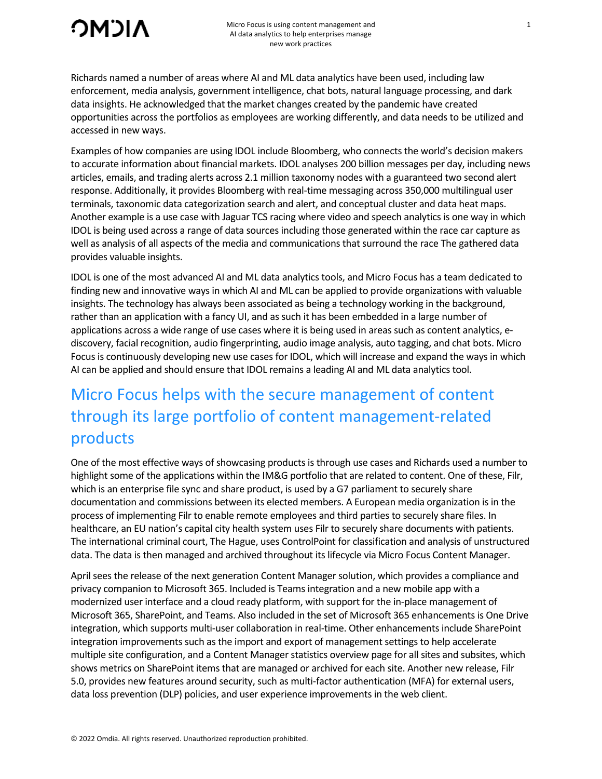

Richards named a number of areas where AI and ML data analytics have been used, including law enforcement, media analysis, government intelligence, chat bots, natural language processing, and dark data insights. He acknowledged that the market changes created by the pandemic have created opportunities across the portfolios as employees are working differently, and data needs to be utilized and accessed in new ways.

Examples of how companies are using IDOL include Bloomberg, who connects the world's decision makers to accurate information about financial markets. IDOL analyses 200 billion messages per day, including news articles, emails, and trading alerts across 2.1 million taxonomy nodes with a guaranteed two second alert response. Additionally, it provides Bloomberg with real-time messaging across 350,000 multilingual user terminals, taxonomic data categorization search and alert, and conceptual cluster and data heat maps. Another example is a use case with Jaguar TCS racing where video and speech analytics is one way in which IDOL is being used across a range of data sources including those generated within the race car capture as well as analysis of all aspects of the media and communications that surround the race The gathered data provides valuable insights.

IDOL is one of the most advanced AI and ML data analytics tools, and Micro Focus has a team dedicated to finding new and innovative ways in which AI and ML can be applied to provide organizations with valuable insights. The technology has always been associated as being a technology working in the background, rather than an application with a fancy UI, and as such it has been embedded in a large number of applications across a wide range of use cases where it is being used in areas such as content analytics, ediscovery, facial recognition, audio fingerprinting, audio image analysis, auto tagging, and chat bots. Micro Focus is continuously developing new use cases for IDOL, which will increase and expand the ways in which AI can be applied and should ensure that IDOL remains a leading AI and ML data analytics tool.

# Micro Focus helps with the secure management of content through its large portfolio of content management-related products

One of the most effective ways of showcasing products is through use cases and Richards used a number to highlight some of the applications within the IM&G portfolio that are related to content. One of these, Filr, which is an enterprise file sync and share product, is used by a G7 parliament to securely share documentation and commissions between its elected members. A European media organization is in the process of implementing Filr to enable remote employees and third parties to securely share files. In healthcare, an EU nation's capital city health system uses Filr to securely share documents with patients. The international criminal court, The Hague, uses ControlPoint for classification and analysis of unstructured data. The data is then managed and archived throughout its lifecycle via Micro Focus Content Manager.

April sees the release of the next generation Content Manager solution, which provides a compliance and privacy companion to Microsoft 365. Included is Teams integration and a new mobile app with a modernized user interface and a cloud ready platform, with support for the in-place management of Microsoft 365, SharePoint, and Teams. Also included in the set of Microsoft 365 enhancements is One Drive integration, which supports multi-user collaboration in real-time. Other enhancements include SharePoint integration improvements such as the import and export of management settings to help accelerate multiple site configuration, and a Content Manager statistics overview page for all sites and subsites, which shows metrics on SharePoint items that are managed or archived for each site. Another new release, Filr 5.0, provides new features around security, such as multi-factor authentication (MFA) for external users, data loss prevention (DLP) policies, and user experience improvements in the web client.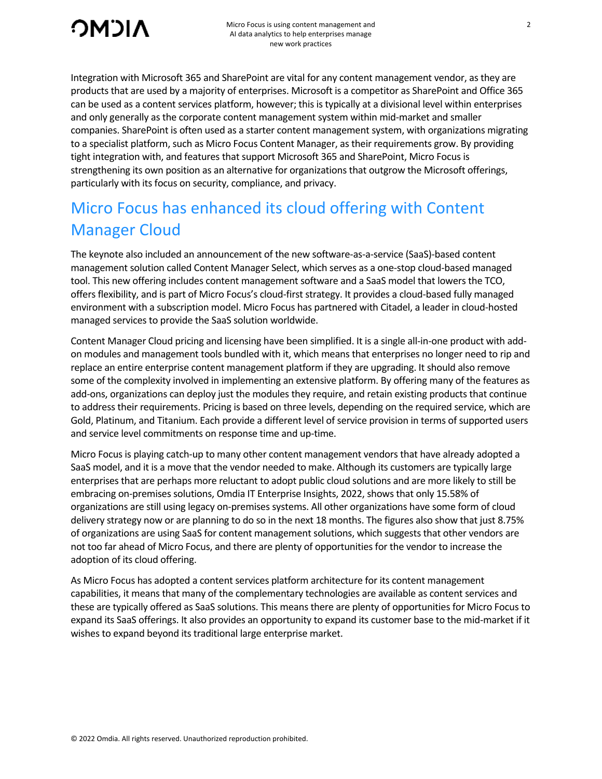

Integration with Microsoft 365 and SharePoint are vital for any content management vendor, as they are products that are used by a majority of enterprises. Microsoft is a competitor as SharePoint and Office 365 can be used as a content services platform, however; this is typically at a divisional level within enterprises and only generally as the corporate content management system within mid-market and smaller companies. SharePoint is often used as a starter content management system, with organizations migrating to a specialist platform, such as Micro Focus Content Manager, as their requirements grow. By providing tight integration with, and features that support Microsoft 365 and SharePoint, Micro Focus is strengthening its own position as an alternative for organizations that outgrow the Microsoft offerings, particularly with its focus on security, compliance, and privacy.

# Micro Focus has enhanced its cloud offering with Content Manager Cloud

The keynote also included an announcement of the new software-as-a-service (SaaS)-based content management solution called Content Manager Select, which serves as a one-stop cloud-based managed tool. This new offering includes content management software and a SaaS model that lowers the TCO, offers flexibility, and is part of Micro Focus's cloud-first strategy. It provides a cloud-based fully managed environment with a subscription model. Micro Focus has partnered with Citadel, a leader in cloud-hosted managed services to provide the SaaS solution worldwide.

Content Manager Cloud pricing and licensing have been simplified. It is a single all-in-one product with addon modules and management tools bundled with it, which means that enterprises no longer need to rip and replace an entire enterprise content management platform if they are upgrading. It should also remove some of the complexity involved in implementing an extensive platform. By offering many of the features as add-ons, organizations can deploy just the modules they require, and retain existing products that continue to address their requirements. Pricing is based on three levels, depending on the required service, which are Gold, Platinum, and Titanium. Each provide a different level of service provision in terms of supported users and service level commitments on response time and up-time.

Micro Focus is playing catch-up to many other content management vendors that have already adopted a SaaS model, and it is a move that the vendor needed to make. Although its customers are typically large enterprises that are perhaps more reluctant to adopt public cloud solutions and are more likely to still be embracing on-premises solutions, Omdia IT Enterprise Insights, 2022, shows that only 15.58% of organizations are still using legacy on-premises systems. All other organizations have some form of cloud delivery strategy now or are planning to do so in the next 18 months. The figures also show that just 8.75% of organizations are using SaaS for content management solutions, which suggests that other vendors are not too far ahead of Micro Focus, and there are plenty of opportunities for the vendor to increase the adoption of its cloud offering.

As Micro Focus has adopted a content services platform architecture for its content management capabilities, it means that many of the complementary technologies are available as content services and these are typically offered as SaaS solutions. This means there are plenty of opportunities for Micro Focus to expand its SaaS offerings. It also provides an opportunity to expand its customer base to the mid-market if it wishes to expand beyond its traditional large enterprise market.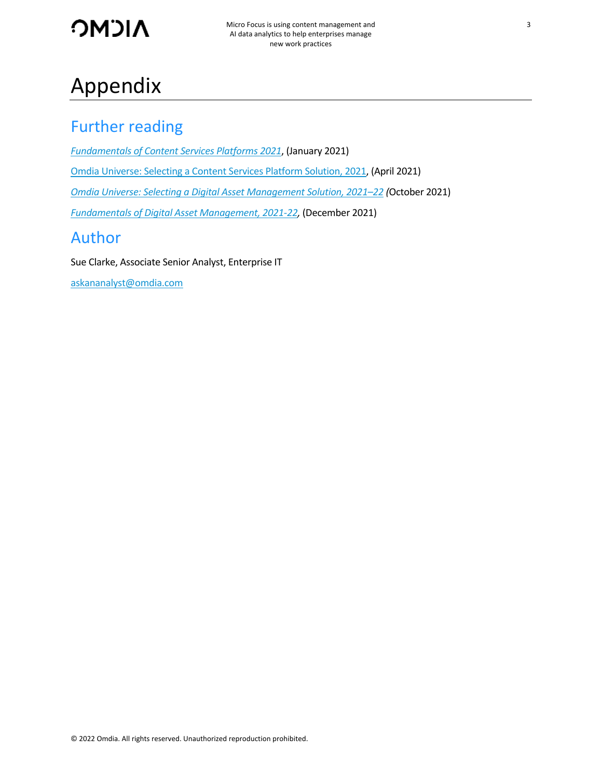

# Appendix

### Further reading

*[Fundamentals of Content Services Platforms 2021](https://omdia.tech.informa.com/OM014520/Fundamentals-of-Content-Services-Platforms-2021)*, (January 2021) [Omdia Universe: Selecting a Content Services Platform Solution, 2021,](https://omdia.tech.informa.com/OM018207/Omdia-Universe-Selecting-a-Content-Services-Platform-Solution-2021) (April 2021) *[Omdia Universe: Selecting a Digital Asset Management Solution, 2021–22](https://omdia.tech.informa.com/OM020987/Omdia-Universe-Selecting-a-Digital-Asset-Management-Solution-202122) (*October 2021) *[Fundamentals of Digital Asset Management, 2021-22,](https://omdia.tech.informa.com/OM018171/Fundamentals-of-Digital-Asset-Management-Solutions-202122)* (December 2021) Author

Sue Clarke, Associate Senior Analyst, Enterprise IT

[askananalyst@omdia.com](mailto:askananalyst@omdia.com)